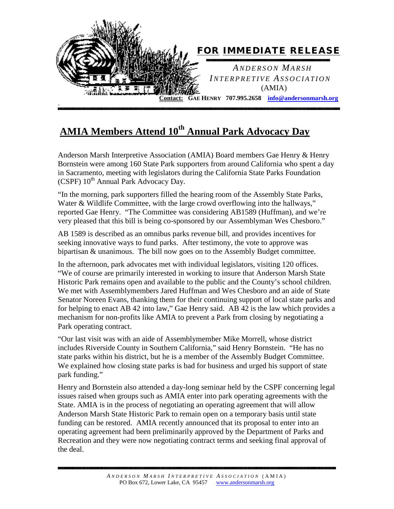

## **AMIA Members Attend 10th Annual Park Advocacy Day**

Anderson Marsh Interpretive Association (AMIA) Board members Gae Henry & Henry Bornstein were among 160 State Park supporters from around California who spent a day in Sacramento, meeting with legislators during the California State Parks Foundation (CSPF)  $10^{th}$  Annual Park Advocacy Day.

"In the morning, park supporters filled the hearing room of the Assembly State Parks, Water & Wildlife Committee, with the large crowd overflowing into the hallways," reported Gae Henry. "The Committee was considering AB1589 (Huffman), and we're very pleased that this bill is being co-sponsored by our Assemblyman Wes Chesboro."

AB 1589 is described as an omnibus parks revenue bill, and provides incentives for seeking innovative ways to fund parks. After testimony, the vote to approve was bipartisan & unanimous. The bill now goes on to the Assembly Budget committee.

In the afternoon, park advocates met with individual legislators, visiting 120 offices. "We of course are primarily interested in working to insure that Anderson Marsh State Historic Park remains open and available to the public and the County's school children. We met with Assemblymembers Jared Huffman and Wes Chesboro and an aide of State Senator Noreen Evans, thanking them for their continuing support of local state parks and for helping to enact AB 42 into law," Gae Henry said. AB 42 is the law which provides a mechanism for non-profits like AMIA to prevent a Park from closing by negotiating a Park operating contract.

"Our last visit was with an aide of Assemblymember Mike Morrell, whose district includes Riverside County in Southern California," said Henry Bornstein. "He has no state parks within his district, but he is a member of the Assembly Budget Committee. We explained how closing state parks is bad for business and urged his support of state park funding."

Henry and Bornstein also attended a day-long seminar held by the CSPF concerning legal issues raised when groups such as AMIA enter into park operating agreements with the State. AMIA is in the process of negotiating an operating agreement that will allow Anderson Marsh State Historic Park to remain open on a temporary basis until state funding can be restored. AMIA recently announced that its proposal to enter into an operating agreement had been preliminarily approved by the Department of Parks and Recreation and they were now negotiating contract terms and seeking final approval of the deal.